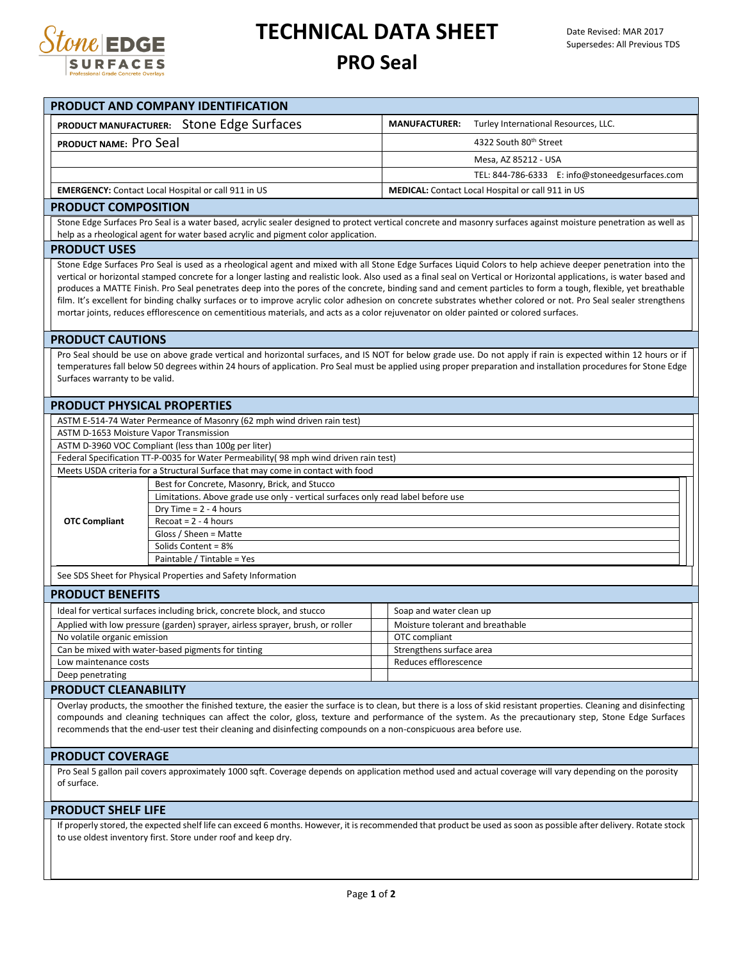

## **TECHNICAL DATA SHEET**

## **PRO Seal**

| <b>PRODUCT AND COMPANY IDENTIFICATION</b>                                                                                                                                                                                                                                                                                                                                                                                                                                                                                                                                                                                                                                                                                                                                                                           |                                                                                  |                                                          |                                                 |
|---------------------------------------------------------------------------------------------------------------------------------------------------------------------------------------------------------------------------------------------------------------------------------------------------------------------------------------------------------------------------------------------------------------------------------------------------------------------------------------------------------------------------------------------------------------------------------------------------------------------------------------------------------------------------------------------------------------------------------------------------------------------------------------------------------------------|----------------------------------------------------------------------------------|----------------------------------------------------------|-------------------------------------------------|
| PRODUCT MANUFACTURER: Stone Edge Surfaces                                                                                                                                                                                                                                                                                                                                                                                                                                                                                                                                                                                                                                                                                                                                                                           |                                                                                  | <b>MANUFACTURER:</b>                                     | Turley International Resources, LLC.            |
| PRODUCT NAME: Pro Seal                                                                                                                                                                                                                                                                                                                                                                                                                                                                                                                                                                                                                                                                                                                                                                                              |                                                                                  |                                                          | 4322 South 80th Street                          |
|                                                                                                                                                                                                                                                                                                                                                                                                                                                                                                                                                                                                                                                                                                                                                                                                                     |                                                                                  |                                                          | Mesa, AZ 85212 - USA                            |
|                                                                                                                                                                                                                                                                                                                                                                                                                                                                                                                                                                                                                                                                                                                                                                                                                     |                                                                                  |                                                          | TEL: 844-786-6333 E: info@stoneedgesurfaces.com |
| <b>EMERGENCY:</b> Contact Local Hospital or call 911 in US                                                                                                                                                                                                                                                                                                                                                                                                                                                                                                                                                                                                                                                                                                                                                          |                                                                                  | <b>MEDICAL:</b> Contact Local Hospital or call 911 in US |                                                 |
| <b>PRODUCT COMPOSITION</b>                                                                                                                                                                                                                                                                                                                                                                                                                                                                                                                                                                                                                                                                                                                                                                                          |                                                                                  |                                                          |                                                 |
| Stone Edge Surfaces Pro Seal is a water based, acrylic sealer designed to protect vertical concrete and masonry surfaces against moisture penetration as well as<br>help as a rheological agent for water based acrylic and pigment color application.                                                                                                                                                                                                                                                                                                                                                                                                                                                                                                                                                              |                                                                                  |                                                          |                                                 |
| <b>PRODUCT USES</b>                                                                                                                                                                                                                                                                                                                                                                                                                                                                                                                                                                                                                                                                                                                                                                                                 |                                                                                  |                                                          |                                                 |
| Stone Edge Surfaces Pro Seal is used as a rheological agent and mixed with all Stone Edge Surfaces Liquid Colors to help achieve deeper penetration into the<br>vertical or horizontal stamped concrete for a longer lasting and realistic look. Also used as a final seal on Vertical or Horizontal applications, is water based and<br>produces a MATTE Finish. Pro Seal penetrates deep into the pores of the concrete, binding sand and cement particles to form a tough, flexible, yet breathable<br>film. It's excellent for binding chalky surfaces or to improve acrylic color adhesion on concrete substrates whether colored or not. Pro Seal sealer strengthens<br>mortar joints, reduces efflorescence on cementitious materials, and acts as a color rejuvenator on older painted or colored surfaces. |                                                                                  |                                                          |                                                 |
| <b>PRODUCT CAUTIONS</b>                                                                                                                                                                                                                                                                                                                                                                                                                                                                                                                                                                                                                                                                                                                                                                                             |                                                                                  |                                                          |                                                 |
| Pro Seal should be use on above grade vertical and horizontal surfaces, and IS NOT for below grade use. Do not apply if rain is expected within 12 hours or if<br>temperatures fall below 50 degrees within 24 hours of application. Pro Seal must be applied using proper preparation and installation procedures for Stone Edge<br>Surfaces warranty to be valid.                                                                                                                                                                                                                                                                                                                                                                                                                                                 |                                                                                  |                                                          |                                                 |
| <b>PRODUCT PHYSICAL PROPERTIES</b>                                                                                                                                                                                                                                                                                                                                                                                                                                                                                                                                                                                                                                                                                                                                                                                  |                                                                                  |                                                          |                                                 |
| ASTM E-514-74 Water Permeance of Masonry (62 mph wind driven rain test)                                                                                                                                                                                                                                                                                                                                                                                                                                                                                                                                                                                                                                                                                                                                             |                                                                                  |                                                          |                                                 |
| ASTM D-1653 Moisture Vapor Transmission                                                                                                                                                                                                                                                                                                                                                                                                                                                                                                                                                                                                                                                                                                                                                                             |                                                                                  |                                                          |                                                 |
| ASTM D-3960 VOC Compliant (less than 100g per liter)                                                                                                                                                                                                                                                                                                                                                                                                                                                                                                                                                                                                                                                                                                                                                                |                                                                                  |                                                          |                                                 |
| Federal Specification TT-P-0035 for Water Permeability(98 mph wind driven rain test)                                                                                                                                                                                                                                                                                                                                                                                                                                                                                                                                                                                                                                                                                                                                |                                                                                  |                                                          |                                                 |
| Meets USDA criteria for a Structural Surface that may come in contact with food                                                                                                                                                                                                                                                                                                                                                                                                                                                                                                                                                                                                                                                                                                                                     |                                                                                  |                                                          |                                                 |
| <b>OTC Compliant</b>                                                                                                                                                                                                                                                                                                                                                                                                                                                                                                                                                                                                                                                                                                                                                                                                | Best for Concrete, Masonry, Brick, and Stucco                                    |                                                          |                                                 |
|                                                                                                                                                                                                                                                                                                                                                                                                                                                                                                                                                                                                                                                                                                                                                                                                                     | Limitations. Above grade use only - vertical surfaces only read label before use |                                                          |                                                 |
|                                                                                                                                                                                                                                                                                                                                                                                                                                                                                                                                                                                                                                                                                                                                                                                                                     | Dry Time = $2 - 4$ hours<br>$Recost = 2 - 4 hours$                               |                                                          |                                                 |
|                                                                                                                                                                                                                                                                                                                                                                                                                                                                                                                                                                                                                                                                                                                                                                                                                     | Gloss / Sheen = Matte                                                            |                                                          |                                                 |
|                                                                                                                                                                                                                                                                                                                                                                                                                                                                                                                                                                                                                                                                                                                                                                                                                     | Solids Content = 8%                                                              |                                                          |                                                 |
|                                                                                                                                                                                                                                                                                                                                                                                                                                                                                                                                                                                                                                                                                                                                                                                                                     | Paintable / Tintable = Yes                                                       |                                                          |                                                 |
| See SDS Sheet for Physical Properties and Safety Information                                                                                                                                                                                                                                                                                                                                                                                                                                                                                                                                                                                                                                                                                                                                                        |                                                                                  |                                                          |                                                 |
| <b>PRODUCT BENEFITS</b>                                                                                                                                                                                                                                                                                                                                                                                                                                                                                                                                                                                                                                                                                                                                                                                             |                                                                                  |                                                          |                                                 |
|                                                                                                                                                                                                                                                                                                                                                                                                                                                                                                                                                                                                                                                                                                                                                                                                                     |                                                                                  |                                                          |                                                 |
| Ideal for vertical surfaces including brick, concrete block, and stucco<br>Applied with low pressure (garden) sprayer, airless sprayer, brush, or roller                                                                                                                                                                                                                                                                                                                                                                                                                                                                                                                                                                                                                                                            |                                                                                  | Soap and water clean up                                  |                                                 |
| No volatile organic emission                                                                                                                                                                                                                                                                                                                                                                                                                                                                                                                                                                                                                                                                                                                                                                                        |                                                                                  | Moisture tolerant and breathable<br>OTC compliant        |                                                 |
| Can be mixed with water-based pigments for tinting                                                                                                                                                                                                                                                                                                                                                                                                                                                                                                                                                                                                                                                                                                                                                                  |                                                                                  | Strengthens surface area                                 |                                                 |
| Low maintenance costs                                                                                                                                                                                                                                                                                                                                                                                                                                                                                                                                                                                                                                                                                                                                                                                               |                                                                                  | Reduces efflorescence                                    |                                                 |
| Deep penetrating                                                                                                                                                                                                                                                                                                                                                                                                                                                                                                                                                                                                                                                                                                                                                                                                    |                                                                                  |                                                          |                                                 |
| <b>PRODUCT CLEANABILITY</b>                                                                                                                                                                                                                                                                                                                                                                                                                                                                                                                                                                                                                                                                                                                                                                                         |                                                                                  |                                                          |                                                 |
| $\overline{ }$ . Overlay anodyste, the emeather the finished texture, the essier the system is to clean, but there is a less of skid resistant arounction.<br>Clossing and disinfacting                                                                                                                                                                                                                                                                                                                                                                                                                                                                                                                                                                                                                             |                                                                                  |                                                          |                                                 |

urface is to clean, but there is a loss of skid resistant properties. Cleaning and disinfecting compounds and cleaning techniques can affect the color, gloss, texture and performance of the system. As the precautionary step, Stone Edge Surfaces recommends that the end-user test their cleaning and disinfecting compounds on a non-conspicuous area before use.

#### **PRODUCT COVERAGE**

Pro Seal 5 gallon pail covers approximately 1000 sqft. Coverage depends on application method used and actual coverage will vary depending on the porosity of surface.

#### **PRODUCT SHELF LIFE**

If properly stored, the expected shelf life can exceed 6 months. However, it is recommended that product be used as soon as possible after delivery. Rotate stock to use oldest inventory first. Store under roof and keep dry.